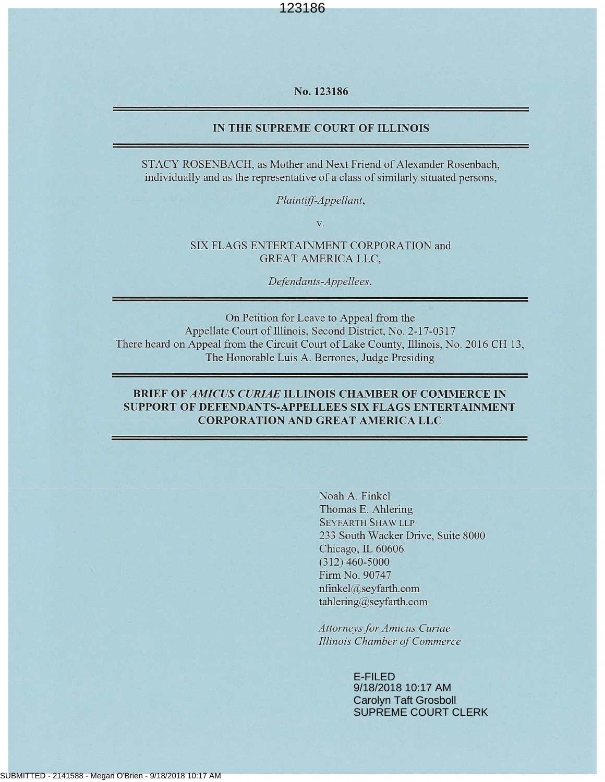No. 123186

#### IN THE SUPREME COURT OF ILLINOIS

STACY ROSENBACH, as Mother and Next Friend of Alexander Rosenbach, individually and as the representative of a class of similarly situated persons,

Plaintiff-Appellant,

 $V<sub>1</sub>$ 

SIX FLAGS ENTERTAINMENT CORPORATION and **GREAT AMERICA LLC.** 

Defendants-Appellees.

On Petition for Leave to Appeal from the Appellate Court of Illinois, Second District, No. 2-17-0317 There heard on Appeal from the Circuit Court of Lake County, Illinois, No. 2016 CH 13, The Honorable Luis A. Berrones, Judge Presiding

#### **BRIEF OF AMICUS CURIAE ILLINOIS CHAMBER OF COMMERCE IN SUPPORT OF DEFENDANTS-APPELLEES SIX FLAGS ENTERTAINMENT CORPORATION AND GREAT AMERICA LLC**

Noah A. Finkel Thomas E. Ahlering **SEYFARTH SHAW LLP** 233 South Wacker Drive, Suite 8000 Chicago, IL 60606  $(312)$  460-5000 Firm No. 90747 nfinkel@seyfarth.com tahlering@seyfarth.com

**Attorneys for Amicus Curiae** Illinois Chamber of Commerce

> E-FILED 9/18/2018 10:17 AM Carolyn Taft Grosboll SUPREME COURT CLERK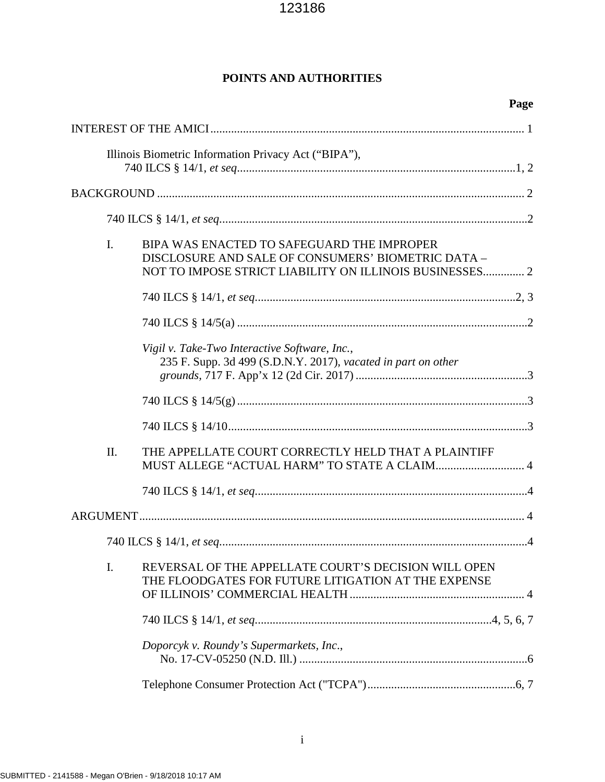# **POINTS AND AUTHORITIES**

| Page                                                                                                                                                                          |  |
|-------------------------------------------------------------------------------------------------------------------------------------------------------------------------------|--|
|                                                                                                                                                                               |  |
| Illinois Biometric Information Privacy Act ("BIPA"),                                                                                                                          |  |
|                                                                                                                                                                               |  |
|                                                                                                                                                                               |  |
| $\mathbf{I}$ .<br>BIPA WAS ENACTED TO SAFEGUARD THE IMPROPER<br>DISCLOSURE AND SALE OF CONSUMERS' BIOMETRIC DATA -<br>NOT TO IMPOSE STRICT LIABILITY ON ILLINOIS BUSINESSES 2 |  |
|                                                                                                                                                                               |  |
|                                                                                                                                                                               |  |
| Vigil v. Take-Two Interactive Software, Inc.,<br>235 F. Supp. 3d 499 (S.D.N.Y. 2017), vacated in part on other                                                                |  |
|                                                                                                                                                                               |  |
|                                                                                                                                                                               |  |
| THE APPELLATE COURT CORRECTLY HELD THAT A PLAINTIFF<br>II.<br>MUST ALLEGE "ACTUAL HARM" TO STATE A CLAIM 4                                                                    |  |
|                                                                                                                                                                               |  |
|                                                                                                                                                                               |  |
| . 4                                                                                                                                                                           |  |
| REVERSAL OF THE APPELLATE COURT'S DECISION WILL OPEN<br>I.<br>THE FLOODGATES FOR FUTURE LITIGATION AT THE EXPENSE                                                             |  |
|                                                                                                                                                                               |  |
| Doporcyk v. Roundy's Supermarkets, Inc.,                                                                                                                                      |  |
|                                                                                                                                                                               |  |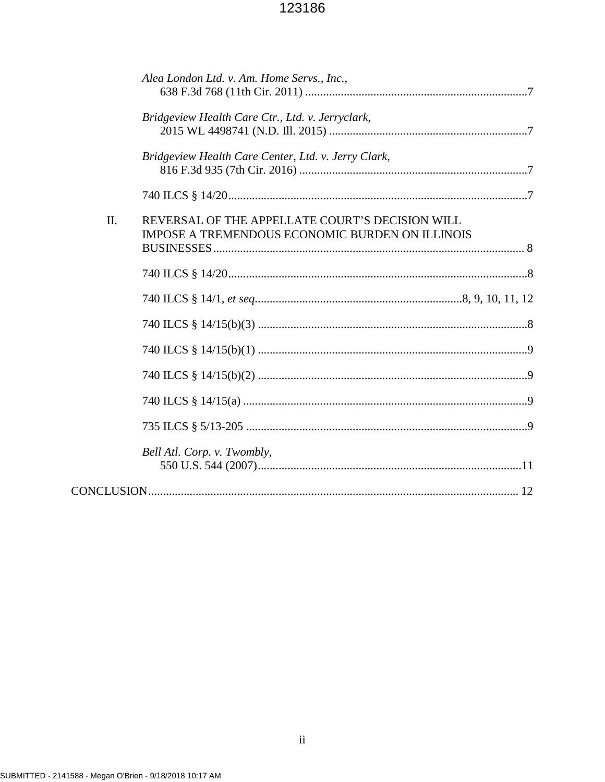|     | Alea London Ltd. v. Am. Home Servs., Inc.,          |
|-----|-----------------------------------------------------|
|     |                                                     |
|     | Bridgeview Health Care Ctr., Ltd. v. Jerryclark,    |
|     |                                                     |
|     | Bridgeview Health Care Center, Ltd. v. Jerry Clark, |
|     |                                                     |
|     |                                                     |
| II. | REVERSAL OF THE APPELLATE COURT'S DECISION WILL     |
|     | IMPOSE A TREMENDOUS ECONOMIC BURDEN ON ILLINOIS     |
|     |                                                     |
|     |                                                     |
|     |                                                     |
|     |                                                     |
|     |                                                     |
|     |                                                     |
|     |                                                     |
|     |                                                     |
|     | Bell Atl. Corp. v. Twombly,                         |
|     |                                                     |
|     |                                                     |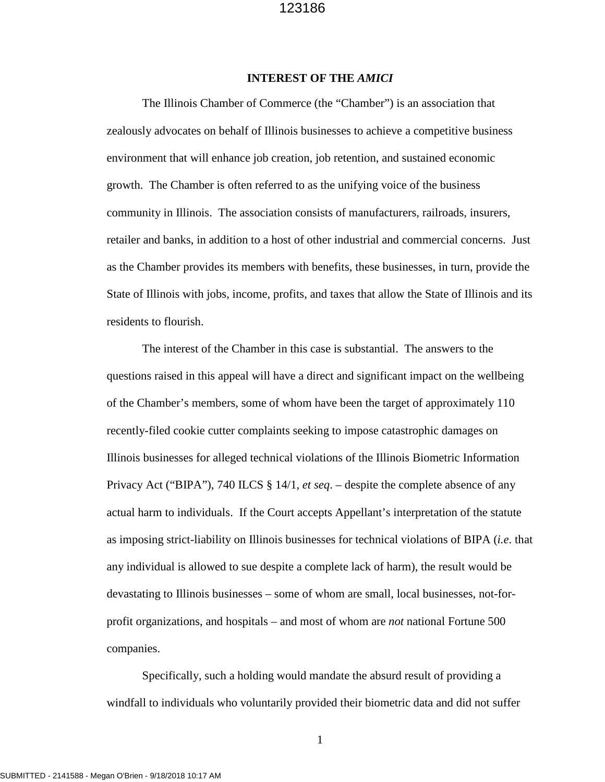#### **INTEREST OF THE** *AMICI*

The Illinois Chamber of Commerce (the "Chamber") is an association that zealously advocates on behalf of Illinois businesses to achieve a competitive business environment that will enhance job creation, job retention, and sustained economic growth. The Chamber is often referred to as the unifying voice of the business community in Illinois. The association consists of manufacturers, railroads, insurers, retailer and banks, in addition to a host of other industrial and commercial concerns. Just as the Chamber provides its members with benefits, these businesses, in turn, provide the State of Illinois with jobs, income, profits, and taxes that allow the State of Illinois and its residents to flourish.

The interest of the Chamber in this case is substantial. The answers to the questions raised in this appeal will have a direct and significant impact on the wellbeing of the Chamber's members, some of whom have been the target of approximately 110 recently-filed cookie cutter complaints seeking to impose catastrophic damages on Illinois businesses for alleged technical violations of the Illinois Biometric Information Privacy Act ("BIPA"), 740 ILCS § 14/1, *et seq*. – despite the complete absence of any actual harm to individuals. If the Court accepts Appellant's interpretation of the statute as imposing strict-liability on Illinois businesses for technical violations of BIPA (*i.e*. that any individual is allowed to sue despite a complete lack of harm), the result would be devastating to Illinois businesses – some of whom are small, local businesses, not-forprofit organizations, and hospitals – and most of whom are *not* national Fortune 500 companies.

Specifically, such a holding would mandate the absurd result of providing a windfall to individuals who voluntarily provided their biometric data and did not suffer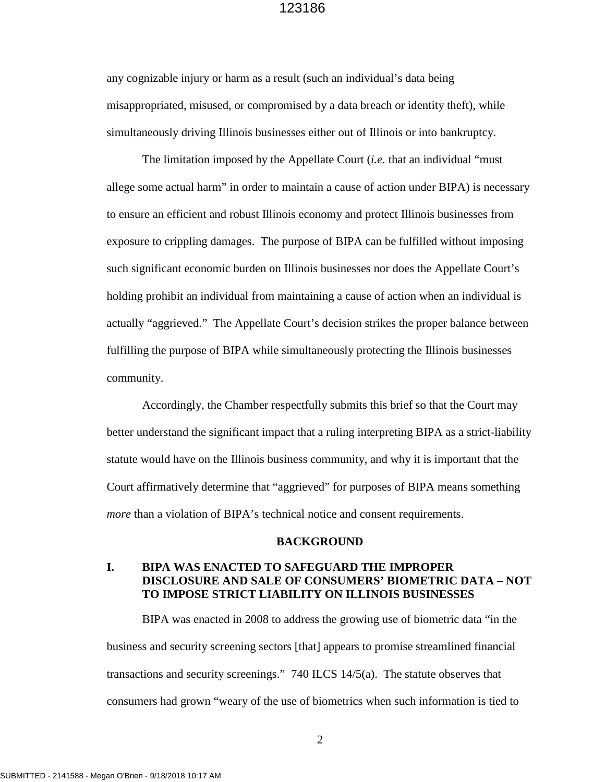any cognizable injury or harm as a result (such an individual's data being misappropriated, misused, or compromised by a data breach or identity theft), while simultaneously driving Illinois businesses either out of Illinois or into bankruptcy.

The limitation imposed by the Appellate Court (*i.e.* that an individual "must allege some actual harm" in order to maintain a cause of action under BIPA) is necessary to ensure an efficient and robust Illinois economy and protect Illinois businesses from exposure to crippling damages. The purpose of BIPA can be fulfilled without imposing such significant economic burden on Illinois businesses nor does the Appellate Court's holding prohibit an individual from maintaining a cause of action when an individual is actually "aggrieved." The Appellate Court's decision strikes the proper balance between fulfilling the purpose of BIPA while simultaneously protecting the Illinois businesses community.

Accordingly, the Chamber respectfully submits this brief so that the Court may better understand the significant impact that a ruling interpreting BIPA as a strict-liability statute would have on the Illinois business community, and why it is important that the Court affirmatively determine that "aggrieved" for purposes of BIPA means something *more* than a violation of BIPA's technical notice and consent requirements.

#### **BACKGROUND**

### **I. BIPA WAS ENACTED TO SAFEGUARD THE IMPROPER DISCLOSURE AND SALE OF CONSUMERS' BIOMETRIC DATA – NOT TO IMPOSE STRICT LIABILITY ON ILLINOIS BUSINESSES**

BIPA was enacted in 2008 to address the growing use of biometric data "in the business and security screening sectors [that] appears to promise streamlined financial transactions and security screenings." 740 ILCS 14/5(a). The statute observes that consumers had grown "weary of the use of biometrics when such information is tied to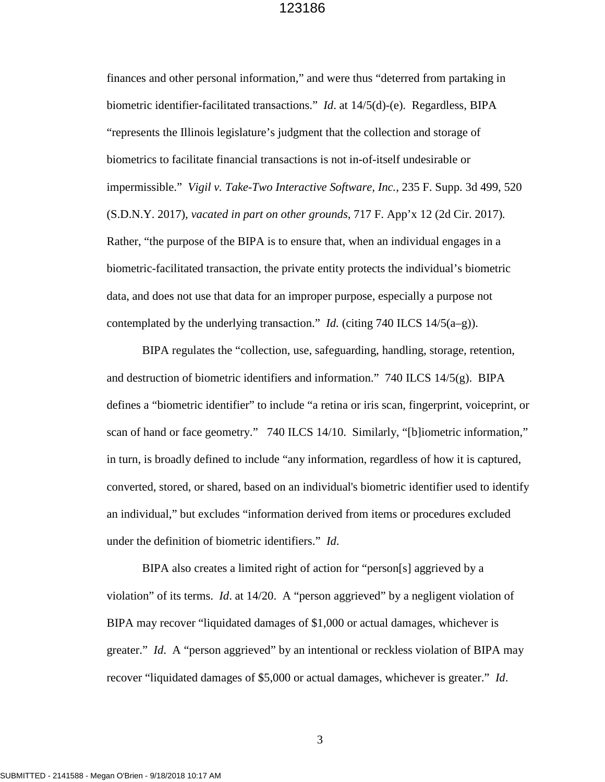finances and other personal information," and were thus "deterred from partaking in biometric identifier-facilitated transactions." *Id*. at 14/5(d)-(e). Regardless, BIPA "represents the Illinois legislature's judgment that the collection and storage of biometrics to facilitate financial transactions is not in-of-itself undesirable or impermissible." *Vigil v. Take-Two Interactive Software, Inc.,* 235 F. Supp. 3d 499, 520 (S.D.N.Y. 2017)*, vacated in part on other grounds,* 717 F. App'x 12 (2d Cir. 2017)*.*  Rather, "the purpose of the BIPA is to ensure that, when an individual engages in a biometric-facilitated transaction, the private entity protects the individual's biometric data, and does not use that data for an improper purpose, especially a purpose not contemplated by the underlying transaction." *Id.* (citing 740 ILCS 14/5(a–g)).

BIPA regulates the "collection, use, safeguarding, handling, storage, retention, and destruction of biometric identifiers and information." 740 ILCS  $14/5(g)$ . BIPA defines a "biometric identifier" to include "a retina or iris scan, fingerprint, voiceprint, or scan of hand or face geometry." 740 ILCS 14/10. Similarly, "[b]iometric information," in turn, is broadly defined to include "any information, regardless of how it is captured, converted, stored, or shared, based on an individual's biometric identifier used to identify an individual," but excludes "information derived from items or procedures excluded under the definition of biometric identifiers." *Id*.

BIPA also creates a limited right of action for "person[s] aggrieved by a violation" of its terms. *Id*. at 14/20. A "person aggrieved" by a negligent violation of BIPA may recover "liquidated damages of \$1,000 or actual damages, whichever is greater." *Id*. A "person aggrieved" by an intentional or reckless violation of BIPA may recover "liquidated damages of \$5,000 or actual damages, whichever is greater." *Id*.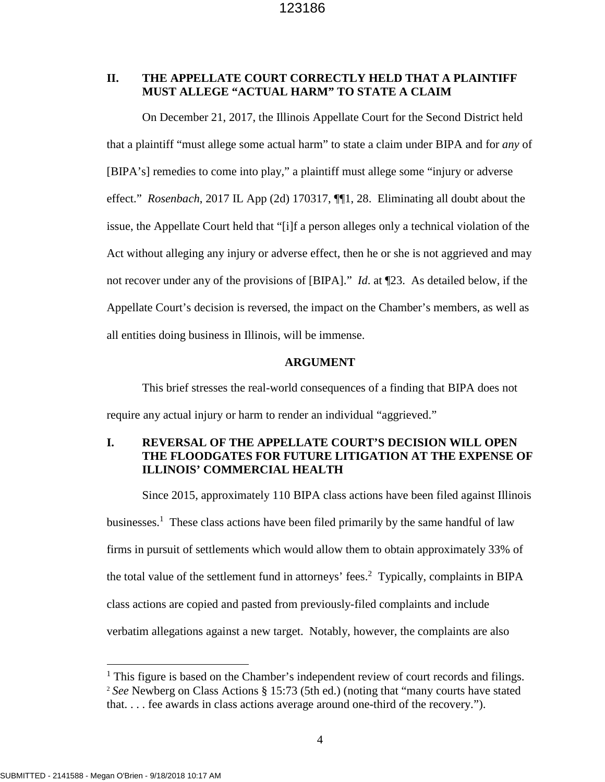### **II. THE APPELLATE COURT CORRECTLY HELD THAT A PLAINTIFF MUST ALLEGE "ACTUAL HARM" TO STATE A CLAIM**

On December 21, 2017, the Illinois Appellate Court for the Second District held that a plaintiff "must allege some actual harm" to state a claim under BIPA and for *any* of [BIPA's] remedies to come into play," a plaintiff must allege some "injury or adverse effect." *Rosenbach*, 2017 IL App (2d) 170317, ¶¶1, 28. Eliminating all doubt about the issue, the Appellate Court held that "[i]f a person alleges only a technical violation of the Act without alleging any injury or adverse effect, then he or she is not aggrieved and may not recover under any of the provisions of [BIPA]." *Id*. at ¶23. As detailed below, if the Appellate Court's decision is reversed, the impact on the Chamber's members, as well as all entities doing business in Illinois, will be immense.

#### **ARGUMENT**

This brief stresses the real-world consequences of a finding that BIPA does not require any actual injury or harm to render an individual "aggrieved."

# **I. REVERSAL OF THE APPELLATE COURT'S DECISION WILL OPEN THE FLOODGATES FOR FUTURE LITIGATION AT THE EXPENSE OF ILLINOIS' COMMERCIAL HEALTH**

Since 2015, approximately 110 BIPA class actions have been filed against Illinois businesses.<sup>1</sup> These class actions have been filed primarily by the same handful of law firms in pursuit of settlements which would allow them to obtain approximately 33% of the total value of the settlement fund in attorneys' fees.<sup>2</sup> Typically, complaints in BIPA class actions are copied and pasted from previously-filed complaints and include verbatim allegations against a new target. Notably, however, the complaints are also

<sup>&</sup>lt;sup>1</sup> This figure is based on the Chamber's independent review of court records and filings. <sup>2</sup> *See* Newberg on Class Actions § 15:73 (5th ed.) (noting that "many courts have stated that. . . . fee awards in class actions average around one-third of the recovery.").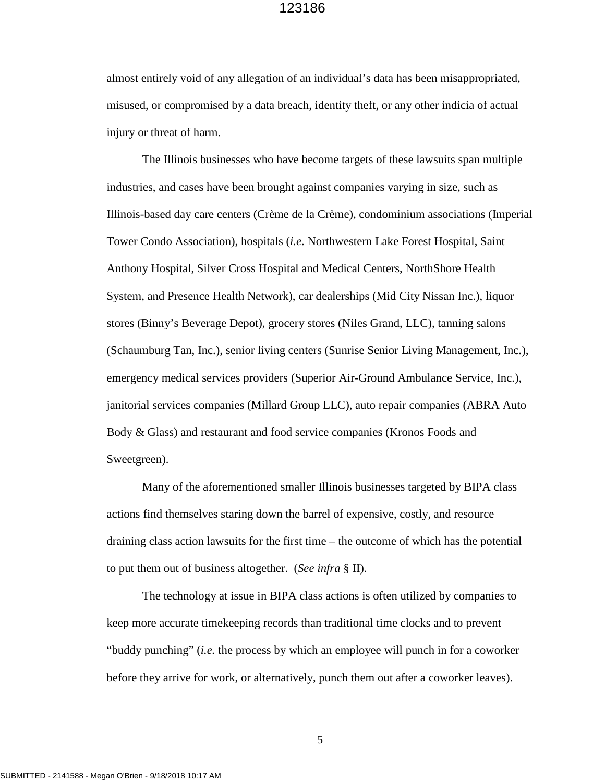almost entirely void of any allegation of an individual's data has been misappropriated, misused, or compromised by a data breach, identity theft, or any other indicia of actual injury or threat of harm.

The Illinois businesses who have become targets of these lawsuits span multiple industries, and cases have been brought against companies varying in size, such as Illinois-based day care centers (Crème de la Crème), condominium associations (Imperial Tower Condo Association), hospitals (*i.e*. Northwestern Lake Forest Hospital, Saint Anthony Hospital, Silver Cross Hospital and Medical Centers, NorthShore Health System, and Presence Health Network), car dealerships (Mid City Nissan Inc.), liquor stores (Binny's Beverage Depot), grocery stores (Niles Grand, LLC), tanning salons (Schaumburg Tan, Inc.), senior living centers (Sunrise Senior Living Management, Inc.), emergency medical services providers (Superior Air-Ground Ambulance Service, Inc.), janitorial services companies (Millard Group LLC), auto repair companies (ABRA Auto Body & Glass) and restaurant and food service companies (Kronos Foods and Sweetgreen).

Many of the aforementioned smaller Illinois businesses targeted by BIPA class actions find themselves staring down the barrel of expensive, costly, and resource draining class action lawsuits for the first time – the outcome of which has the potential to put them out of business altogether. (*See infra* § II).

The technology at issue in BIPA class actions is often utilized by companies to keep more accurate timekeeping records than traditional time clocks and to prevent "buddy punching" (*i.e.* the process by which an employee will punch in for a coworker before they arrive for work, or alternatively, punch them out after a coworker leaves).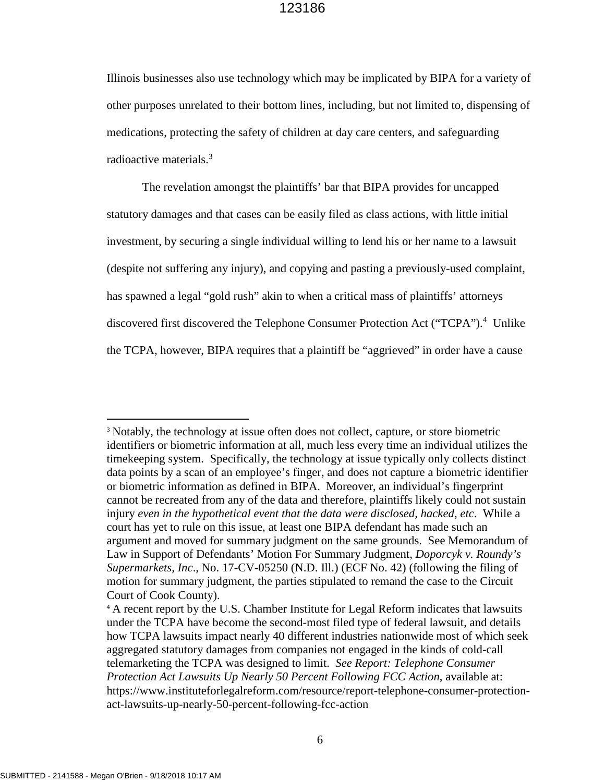Illinois businesses also use technology which may be implicated by BIPA for a variety of other purposes unrelated to their bottom lines, including, but not limited to, dispensing of medications, protecting the safety of children at day care centers, and safeguarding radioactive materials.<sup>3</sup>

The revelation amongst the plaintiffs' bar that BIPA provides for uncapped statutory damages and that cases can be easily filed as class actions, with little initial investment, by securing a single individual willing to lend his or her name to a lawsuit (despite not suffering any injury), and copying and pasting a previously-used complaint, has spawned a legal "gold rush" akin to when a critical mass of plaintiffs' attorneys discovered first discovered the Telephone Consumer Protection Act ("TCPA").<sup>4</sup> Unlike the TCPA, however, BIPA requires that a plaintiff be "aggrieved" in order have a cause

<sup>&</sup>lt;sup>3</sup> Notably, the technology at issue often does not collect, capture, or store biometric identifiers or biometric information at all, much less every time an individual utilizes the timekeeping system. Specifically, the technology at issue typically only collects distinct data points by a scan of an employee's finger, and does not capture a biometric identifier or biometric information as defined in BIPA. Moreover, an individual's fingerprint cannot be recreated from any of the data and therefore, plaintiffs likely could not sustain injury *even in the hypothetical event that the data were disclosed, hacked, etc*. While a court has yet to rule on this issue, at least one BIPA defendant has made such an argument and moved for summary judgment on the same grounds. See Memorandum of Law in Support of Defendants' Motion For Summary Judgment, *Doporcyk v. Roundy's Supermarkets, Inc*., No. 17-CV-05250 (N.D. Ill.) (ECF No. 42) (following the filing of motion for summary judgment, the parties stipulated to remand the case to the Circuit Court of Cook County).

<sup>&</sup>lt;sup>4</sup> A recent report by the U.S. Chamber Institute for Legal Reform indicates that lawsuits under the TCPA have become the second-most filed type of federal lawsuit, and details how TCPA lawsuits impact nearly 40 different industries nationwide most of which seek aggregated statutory damages from companies not engaged in the kinds of cold-call telemarketing the TCPA was designed to limit. *See Report: Telephone Consumer Protection Act Lawsuits Up Nearly 50 Percent Following FCC Action*, available at: https://www.instituteforlegalreform.com/resource/report-telephone-consumer-protectionact-lawsuits-up-nearly-50-percent-following-fcc-action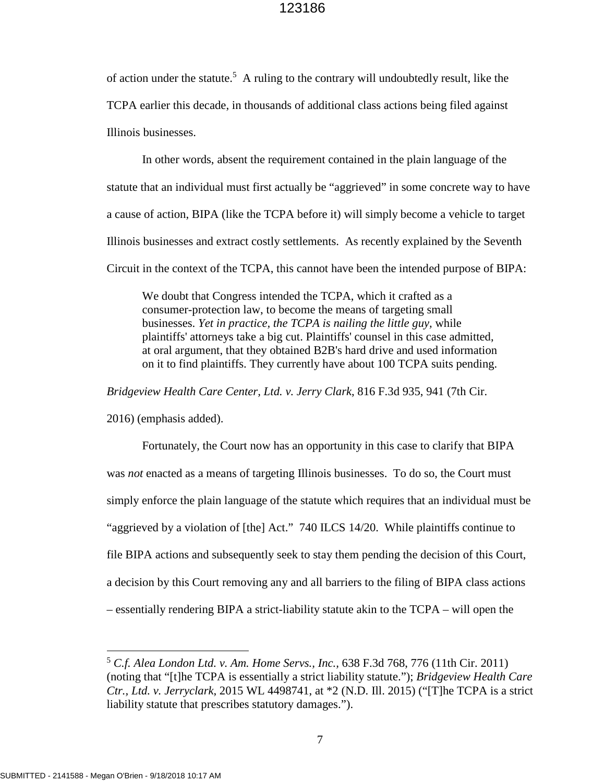of action under the statute.<sup>5</sup> A ruling to the contrary will undoubtedly result, like the TCPA earlier this decade, in thousands of additional class actions being filed against Illinois businesses.

In other words, absent the requirement contained in the plain language of the statute that an individual must first actually be "aggrieved" in some concrete way to have a cause of action, BIPA (like the TCPA before it) will simply become a vehicle to target Illinois businesses and extract costly settlements. As recently explained by the Seventh Circuit in the context of the TCPA, this cannot have been the intended purpose of BIPA:

We doubt that Congress intended the TCPA, which it crafted as a consumer-protection law, to become the means of targeting small businesses. *Yet in practice, the TCPA is nailing the little guy,* while plaintiffs' attorneys take a big cut. Plaintiffs' counsel in this case admitted, at oral argument, that they obtained B2B's hard drive and used information on it to find plaintiffs. They currently have about 100 TCPA suits pending.

*Bridgeview Health Care Center, Ltd. v. Jerry Clark*, 816 F.3d 935, 941 (7th Cir.

2016) (emphasis added).

Fortunately, the Court now has an opportunity in this case to clarify that BIPA was *not* enacted as a means of targeting Illinois businesses. To do so, the Court must simply enforce the plain language of the statute which requires that an individual must be "aggrieved by a violation of [the] Act." 740 ILCS 14/20. While plaintiffs continue to file BIPA actions and subsequently seek to stay them pending the decision of this Court, a decision by this Court removing any and all barriers to the filing of BIPA class actions – essentially rendering BIPA a strict-liability statute akin to the TCPA – will open the

<sup>5</sup> *C.f. Alea London Ltd. v. Am. Home Servs., Inc.,* 638 F.3d 768, 776 (11th Cir. 2011) (noting that "[t]he TCPA is essentially a strict liability statute."); *Bridgeview Health Care Ctr., Ltd. v. Jerryclark*, 2015 WL 4498741, at \*2 (N.D. Ill. 2015) ("[T]he TCPA is a strict liability statute that prescribes statutory damages.").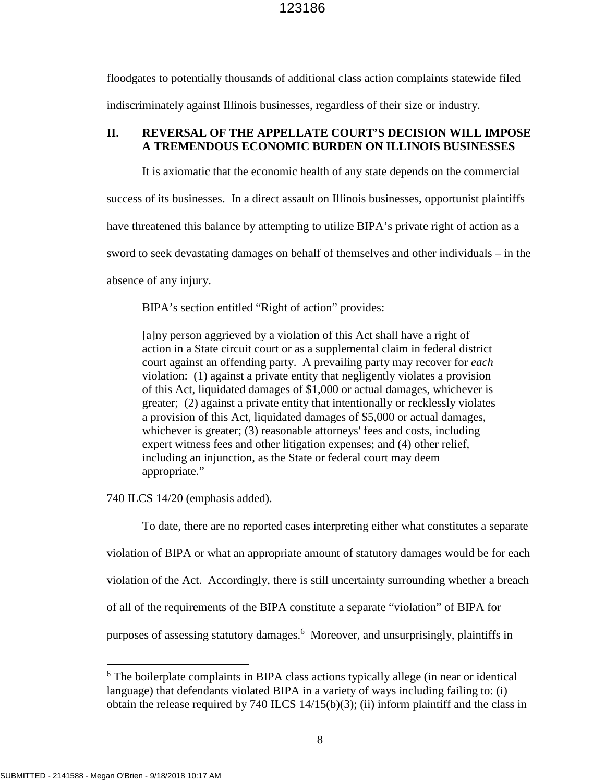floodgates to potentially thousands of additional class action complaints statewide filed indiscriminately against Illinois businesses, regardless of their size or industry.

### **II. REVERSAL OF THE APPELLATE COURT'S DECISION WILL IMPOSE A TREMENDOUS ECONOMIC BURDEN ON ILLINOIS BUSINESSES**

It is axiomatic that the economic health of any state depends on the commercial success of its businesses. In a direct assault on Illinois businesses, opportunist plaintiffs have threatened this balance by attempting to utilize BIPA's private right of action as a sword to seek devastating damages on behalf of themselves and other individuals – in the absence of any injury.

BIPA's section entitled "Right of action" provides:

[a]ny person aggrieved by a violation of this Act shall have a right of action in a State circuit court or as a supplemental claim in federal district court against an offending party. A prevailing party may recover for *each* violation: (1) against a private entity that negligently violates a provision of this Act, liquidated damages of \$1,000 or actual damages, whichever is greater; (2) against a private entity that intentionally or recklessly violates a provision of this Act, liquidated damages of \$5,000 or actual damages, whichever is greater; (3) reasonable attorneys' fees and costs, including expert witness fees and other litigation expenses; and (4) other relief, including an injunction, as the State or federal court may deem appropriate."

740 ILCS 14/20 (emphasis added).

To date, there are no reported cases interpreting either what constitutes a separate violation of BIPA or what an appropriate amount of statutory damages would be for each violation of the Act. Accordingly, there is still uncertainty surrounding whether a breach of all of the requirements of the BIPA constitute a separate "violation" of BIPA for purposes of assessing statutory damages.<sup>6</sup> Moreover, and unsurprisingly, plaintiffs in

<sup>&</sup>lt;sup>6</sup> The boilerplate complaints in BIPA class actions typically allege (in near or identical language) that defendants violated BIPA in a variety of ways including failing to: (i) obtain the release required by 740 ILCS 14/15(b)(3); (ii) inform plaintiff and the class in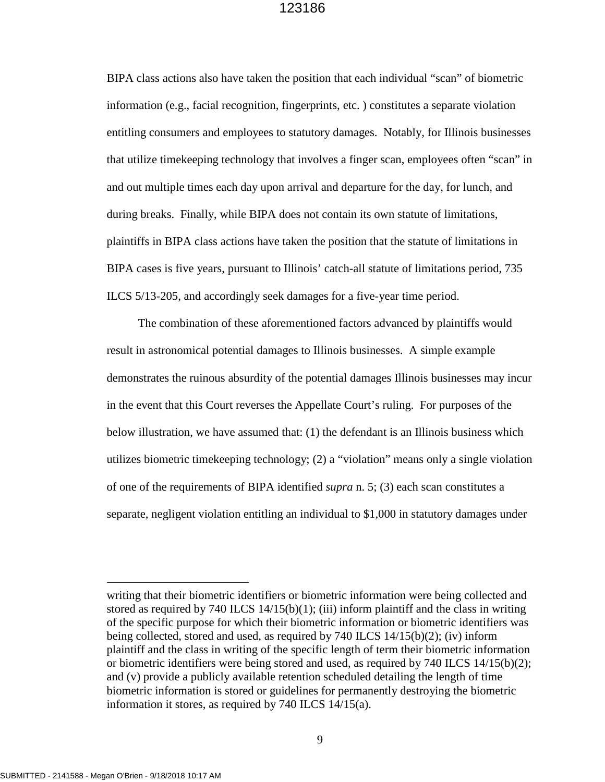BIPA class actions also have taken the position that each individual "scan" of biometric information (e.g., facial recognition, fingerprints, etc. ) constitutes a separate violation entitling consumers and employees to statutory damages. Notably, for Illinois businesses that utilize timekeeping technology that involves a finger scan, employees often "scan" in and out multiple times each day upon arrival and departure for the day, for lunch, and during breaks. Finally, while BIPA does not contain its own statute of limitations, plaintiffs in BIPA class actions have taken the position that the statute of limitations in BIPA cases is five years, pursuant to Illinois' catch-all statute of limitations period, 735 ILCS 5/13-205, and accordingly seek damages for a five-year time period.

The combination of these aforementioned factors advanced by plaintiffs would result in astronomical potential damages to Illinois businesses. A simple example demonstrates the ruinous absurdity of the potential damages Illinois businesses may incur in the event that this Court reverses the Appellate Court's ruling. For purposes of the below illustration, we have assumed that: (1) the defendant is an Illinois business which utilizes biometric timekeeping technology; (2) a "violation" means only a single violation of one of the requirements of BIPA identified *supra* n. 5; (3) each scan constitutes a separate, negligent violation entitling an individual to \$1,000 in statutory damages under

writing that their biometric identifiers or biometric information were being collected and stored as required by 740 ILCS  $14/15(b)(1)$ ; (iii) inform plaintiff and the class in writing of the specific purpose for which their biometric information or biometric identifiers was being collected, stored and used, as required by 740 ILCS 14/15(b)(2); (iv) inform plaintiff and the class in writing of the specific length of term their biometric information or biometric identifiers were being stored and used, as required by 740 ILCS 14/15(b)(2); and (v) provide a publicly available retention scheduled detailing the length of time biometric information is stored or guidelines for permanently destroying the biometric information it stores, as required by 740 ILCS 14/15(a).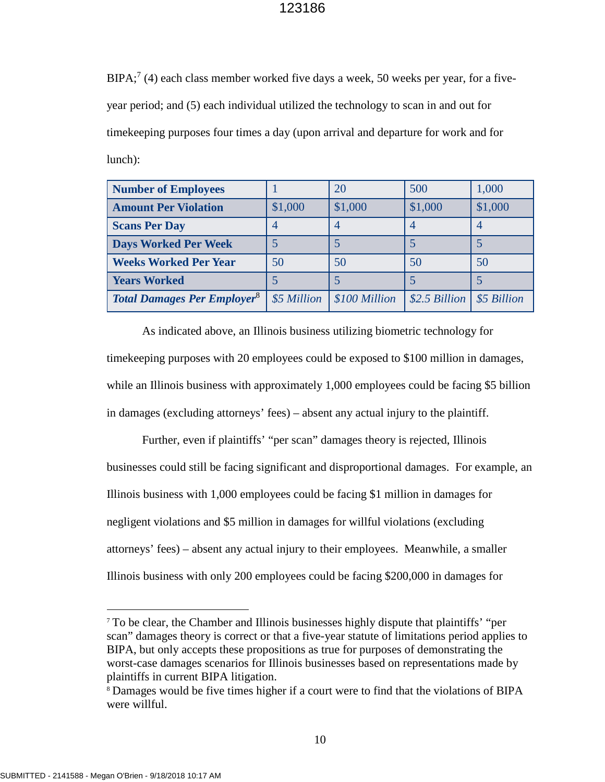$BIPA$ ;<sup>7</sup> (4) each class member worked five days a week, 50 weeks per year, for a fiveyear period; and (5) each individual utilized the technology to scan in and out for timekeeping purposes four times a day (upon arrival and departure for work and for lunch):

| <b>Number of Employees</b>                    |             | 20             | 500            | 1,000       |
|-----------------------------------------------|-------------|----------------|----------------|-------------|
| <b>Amount Per Violation</b>                   | \$1,000     | \$1,000        | \$1,000        | \$1,000     |
| <b>Scans Per Day</b>                          | 4           | $\overline{4}$ | 4              |             |
| <b>Days Worked Per Week</b>                   |             |                |                |             |
| <b>Weeks Worked Per Year</b>                  | 50          | 50             | 50             | 50          |
| <b>Years Worked</b>                           |             |                |                |             |
| <b>Total Damages Per Employer<sup>8</sup></b> | \$5 Million | \$100 Million  | $$2.5$ Billion | \$5 Billion |

As indicated above, an Illinois business utilizing biometric technology for timekeeping purposes with 20 employees could be exposed to \$100 million in damages, while an Illinois business with approximately 1,000 employees could be facing \$5 billion in damages (excluding attorneys' fees) – absent any actual injury to the plaintiff.

Further, even if plaintiffs' "per scan" damages theory is rejected, Illinois businesses could still be facing significant and disproportional damages. For example, an Illinois business with 1,000 employees could be facing \$1 million in damages for negligent violations and \$5 million in damages for willful violations (excluding attorneys' fees) – absent any actual injury to their employees. Meanwhile, a smaller Illinois business with only 200 employees could be facing \$200,000 in damages for

<sup>7</sup> To be clear, the Chamber and Illinois businesses highly dispute that plaintiffs' "per scan" damages theory is correct or that a five-year statute of limitations period applies to BIPA, but only accepts these propositions as true for purposes of demonstrating the worst-case damages scenarios for Illinois businesses based on representations made by plaintiffs in current BIPA litigation.

<sup>8</sup> Damages would be five times higher if a court were to find that the violations of BIPA were willful.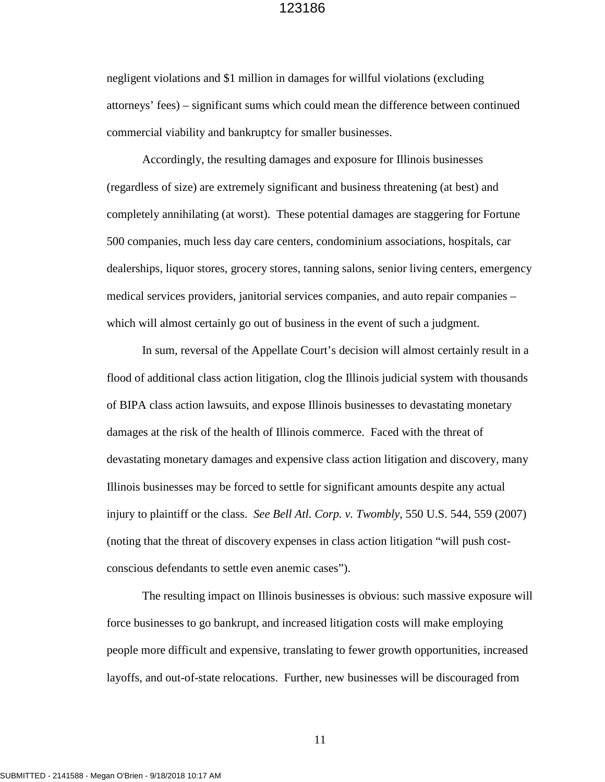negligent violations and \$1 million in damages for willful violations (excluding attorneys' fees) – significant sums which could mean the difference between continued commercial viability and bankruptcy for smaller businesses.

Accordingly, the resulting damages and exposure for Illinois businesses (regardless of size) are extremely significant and business threatening (at best) and completely annihilating (at worst). These potential damages are staggering for Fortune 500 companies, much less day care centers, condominium associations, hospitals, car dealerships, liquor stores, grocery stores, tanning salons, senior living centers, emergency medical services providers, janitorial services companies, and auto repair companies – which will almost certainly go out of business in the event of such a judgment.

In sum, reversal of the Appellate Court's decision will almost certainly result in a flood of additional class action litigation, clog the Illinois judicial system with thousands of BIPA class action lawsuits, and expose Illinois businesses to devastating monetary damages at the risk of the health of Illinois commerce. Faced with the threat of devastating monetary damages and expensive class action litigation and discovery, many Illinois businesses may be forced to settle for significant amounts despite any actual injury to plaintiff or the class. *See Bell Atl. Corp. v. Twombly*, 550 U.S. 544, 559 (2007) (noting that the threat of discovery expenses in class action litigation "will push costconscious defendants to settle even anemic cases").

The resulting impact on Illinois businesses is obvious: such massive exposure will force businesses to go bankrupt, and increased litigation costs will make employing people more difficult and expensive, translating to fewer growth opportunities, increased layoffs, and out-of-state relocations. Further, new businesses will be discouraged from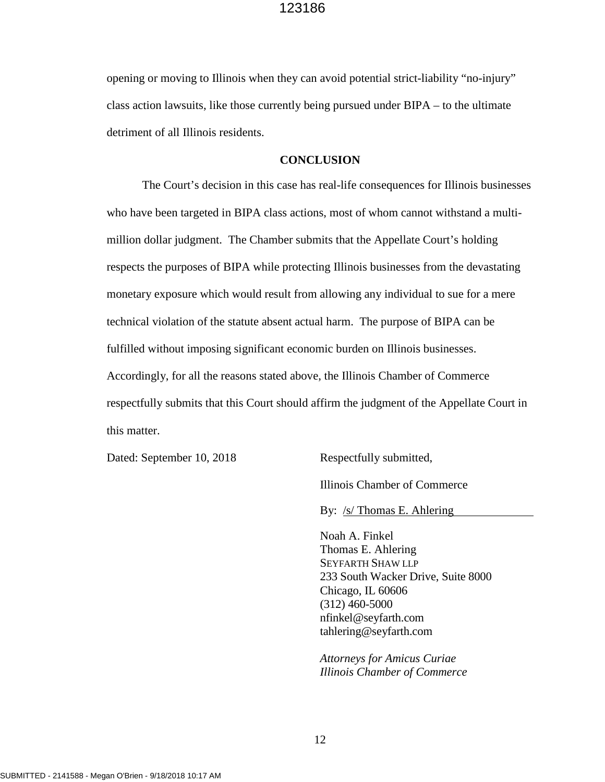opening or moving to Illinois when they can avoid potential strict-liability "no-injury" class action lawsuits, like those currently being pursued under BIPA – to the ultimate detriment of all Illinois residents.

#### **CONCLUSION**

The Court's decision in this case has real-life consequences for Illinois businesses who have been targeted in BIPA class actions, most of whom cannot withstand a multimillion dollar judgment. The Chamber submits that the Appellate Court's holding respects the purposes of BIPA while protecting Illinois businesses from the devastating monetary exposure which would result from allowing any individual to sue for a mere technical violation of the statute absent actual harm. The purpose of BIPA can be fulfilled without imposing significant economic burden on Illinois businesses. Accordingly, for all the reasons stated above, the Illinois Chamber of Commerce respectfully submits that this Court should affirm the judgment of the Appellate Court in this matter.

Dated: September 10, 2018 Respectfully submitted,

Illinois Chamber of Commerce

By: /s/ Thomas E. Ahlering

Noah A. Finkel Thomas E. Ahlering SEYFARTH SHAW LLP 233 South Wacker Drive, Suite 8000 Chicago, IL 60606 (312) 460-5000 nfinkel@seyfarth.com tahlering@seyfarth.com

*Attorneys for Amicus Curiae Illinois Chamber of Commerce*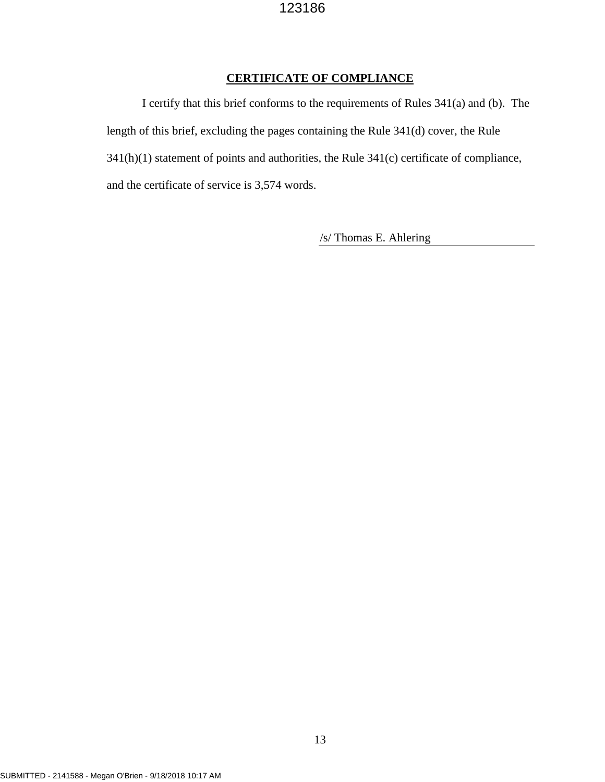# **CERTIFICATE OF COMPLIANCE**

I certify that this brief conforms to the requirements of Rules 341(a) and (b). The length of this brief, excluding the pages containing the Rule 341(d) cover, the Rule 341(h)(1) statement of points and authorities, the Rule 341(c) certificate of compliance, and the certificate of service is 3,574 words.

/s/ Thomas E. Ahlering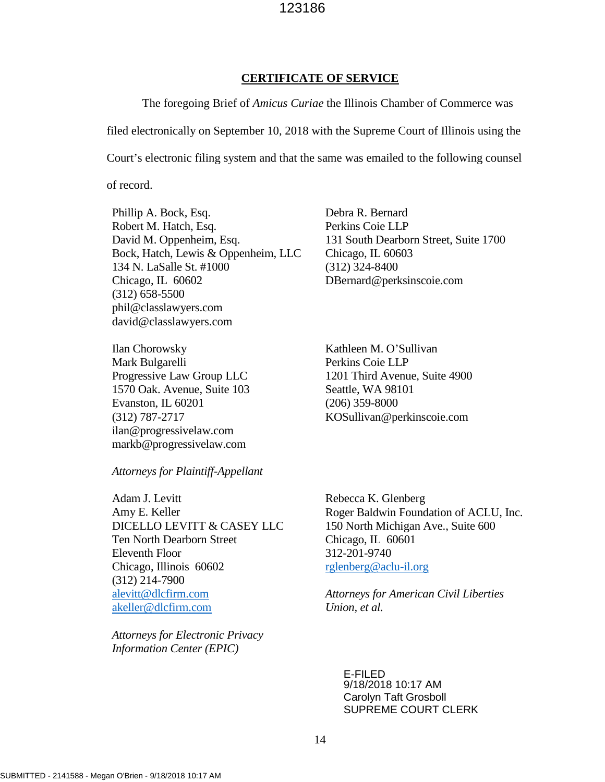#### **CERTIFICATE OF SERVICE**

The foregoing Brief of *Amicus Curiae* the Illinois Chamber of Commerce was filed electronically on September 10, 2018 with the Supreme Court of Illinois using the Court's electronic filing system and that the same was emailed to the following counsel

of record.

Phillip A. Bock, Esq. Robert M. Hatch, Esq. David M. Oppenheim, Esq. Bock, Hatch, Lewis & Oppenheim, LLC 134 N. LaSalle St. #1000 Chicago, IL 60602 (312) 658-5500 phil@classlawyers.com david@classlawyers.com

Ilan Chorowsky Mark Bulgarelli Progressive Law Group LLC 1570 Oak. Avenue, Suite 103 Evanston, IL 60201 (312) 787-2717 ilan@progressivelaw.com markb@progressivelaw.com

Debra R. Bernard Perkins Coie LLP 131 South Dearborn Street, Suite 1700 Chicago, IL 60603 (312) 324-8400 DBernard@perksinscoie.com

Kathleen M. O'Sullivan Perkins Coie LLP 1201 Third Avenue, Suite 4900 Seattle, WA 98101 (206) 359-8000 KOSullivan@perkinscoie.com

*Attorneys for Plaintiff-Appellant* 

Adam J. Levitt Amy E. Keller DICELLO LEVITT & CASEY LLC Ten North Dearborn Street Eleventh Floor Chicago, Illinois 60602 (312) 214-7900 alevitt@dlcfirm.com akeller@dlcfirm.com

*Attorneys for Electronic Privacy Information Center (EPIC)* 

Rebecca K. Glenberg Roger Baldwin Foundation of ACLU, Inc. 150 North Michigan Ave., Suite 600 Chicago, IL 60601 312-201-9740 rglenberg@aclu-il.org

*Attorneys for American Civil Liberties Union, et al.* 

E-FILED 9/18/2018 10:17 AM Carolyn Taft Grosboll SUPREME COURT CLERK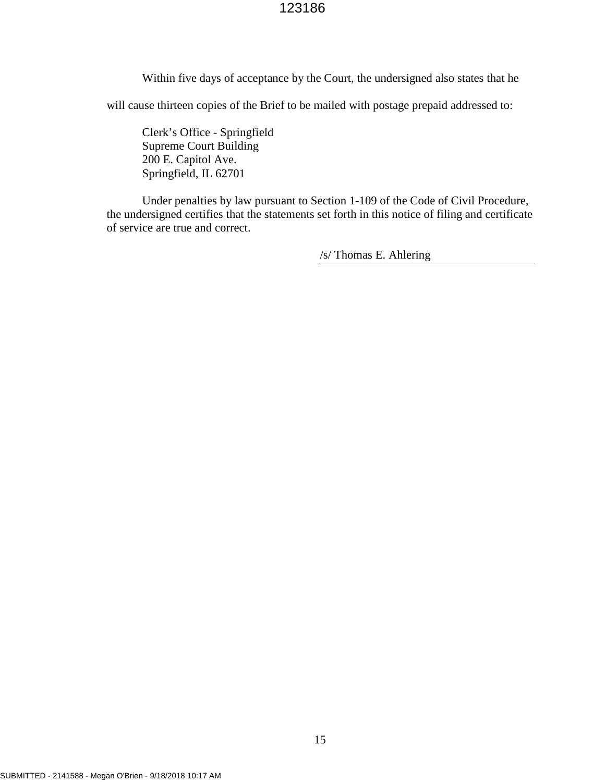Within five days of acceptance by the Court, the undersigned also states that he

will cause thirteen copies of the Brief to be mailed with postage prepaid addressed to:

Clerk's Office - Springfield Supreme Court Building 200 E. Capitol Ave. Springfield, IL 62701

Under penalties by law pursuant to Section 1-109 of the Code of Civil Procedure, the undersigned certifies that the statements set forth in this notice of filing and certificate of service are true and correct.

/s/ Thomas E. Ahlering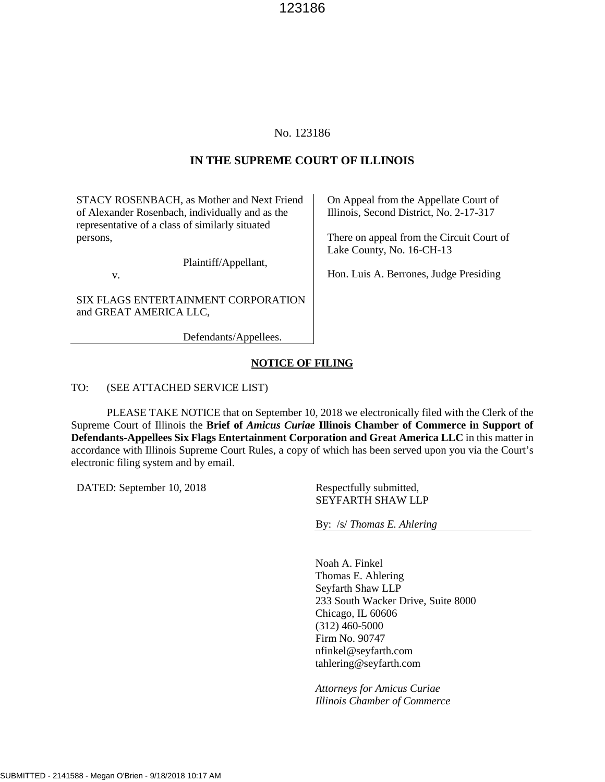### No. 123186

#### **IN THE SUPREME COURT OF ILLINOIS**

STACY ROSENBACH, as Mother and Next Friend of Alexander Rosenbach, individually and as the representative of a class of similarly situated persons,

Plaintiff/Appellant,

v.

SIX FLAGS ENTERTAINMENT CORPORATION and GREAT AMERICA LLC,

Defendants/Appellees.

On Appeal from the Appellate Court of Illinois, Second District, No. 2-17-317

There on appeal from the Circuit Court of Lake County, No. 16-CH-13

Hon. Luis A. Berrones, Judge Presiding

#### **NOTICE OF FILING**

TO: (SEE ATTACHED SERVICE LIST)

PLEASE TAKE NOTICE that on September 10, 2018 we electronically filed with the Clerk of the Supreme Court of Illinois the **Brief of** *Amicus Curiae* **Illinois Chamber of Commerce in Support of Defendants-Appellees Six Flags Entertainment Corporation and Great America LLC** in this matter in accordance with Illinois Supreme Court Rules, a copy of which has been served upon you via the Court's electronic filing system and by email.

DATED: September 10, 2018 Respectfully submitted,

SEYFARTH SHAW LLP

By: /s/ *Thomas E. Ahlering*

Noah A. Finkel Thomas E. Ahlering Seyfarth Shaw LLP 233 South Wacker Drive, Suite 8000 Chicago, IL 60606 (312) 460-5000 Firm No. 90747 nfinkel@seyfarth.com tahlering@seyfarth.com

*Attorneys for Amicus Curiae Illinois Chamber of Commerce*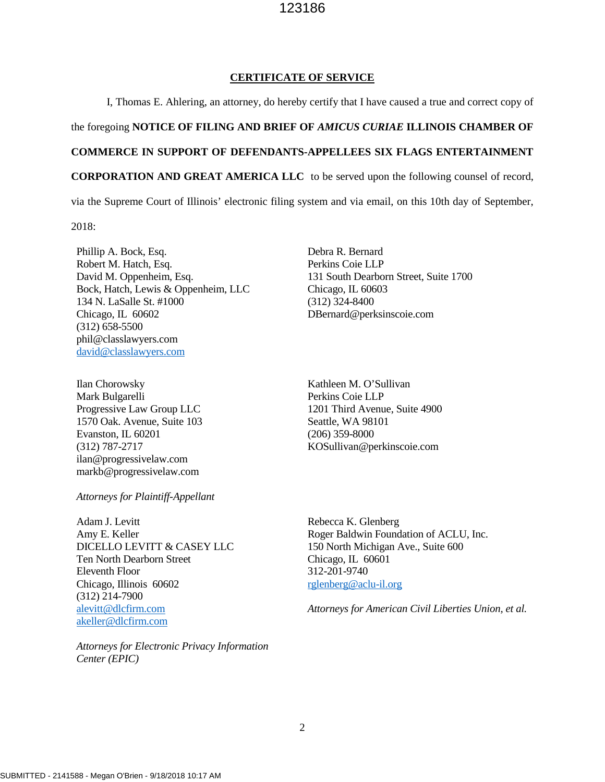#### **CERTIFICATE OF SERVICE**

I, Thomas E. Ahlering, an attorney, do hereby certify that I have caused a true and correct copy of

#### the foregoing **NOTICE OF FILING AND BRIEF OF** *AMICUS CURIAE* **ILLINOIS CHAMBER OF**

#### **COMMERCE IN SUPPORT OF DEFENDANTS-APPELLEES SIX FLAGS ENTERTAINMENT**

**CORPORATION AND GREAT AMERICA LLC** to be served upon the following counsel of record,

via the Supreme Court of Illinois' electronic filing system and via email, on this 10th day of September,

2018:

Phillip A. Bock, Esq. Robert M. Hatch, Esq. David M. Oppenheim, Esq. Bock, Hatch, Lewis & Oppenheim, LLC 134 N. LaSalle St. #1000 Chicago, IL 60602 (312) 658-5500 phil@classlawyers.com david@classlawyers.com

Ilan Chorowsky Mark Bulgarelli Progressive Law Group LLC 1570 Oak. Avenue, Suite 103 Evanston, IL 60201 (312) 787-2717 ilan@progressivelaw.com markb@progressivelaw.com

*Attorneys for Plaintiff-Appellant* 

Adam J. Levitt Amy E. Keller DICELLO LEVITT & CASEY LLC Ten North Dearborn Street Eleventh Floor Chicago, Illinois 60602 (312) 214-7900 alevitt@dlcfirm.com akeller@dlcfirm.com

*Attorneys for Electronic Privacy Information Center (EPIC)* 

Debra R. Bernard Perkins Coie LLP 131 South Dearborn Street, Suite 1700 Chicago, IL 60603 (312) 324-8400 DBernard@perksinscoie.com

Kathleen M. O'Sullivan Perkins Coie LLP 1201 Third Avenue, Suite 4900 Seattle, WA 98101 (206) 359-8000 KOSullivan@perkinscoie.com

Rebecca K. Glenberg Roger Baldwin Foundation of ACLU, Inc. 150 North Michigan Ave., Suite 600 Chicago, IL 60601 312-201-9740 rglenberg@aclu-il.org

*Attorneys for American Civil Liberties Union, et al.*